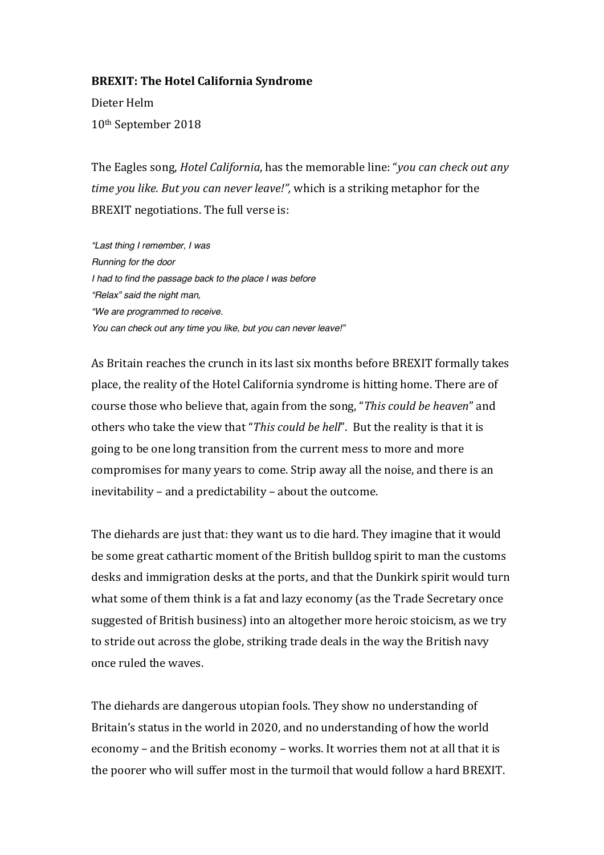## **BREXIT: The Hotel California Syndrome**

Dieter Helm 10th September 2018

The Eagles song, *Hotel California*, has the memorable line: "*you can check out any time* you *like.* But you can never leave!", which is a striking metaphor for the BREXIT negotiations. The full verse is:

*"Last thing I remember, I was Running for the door I had to find the passage back to the place I was before "Relax" said the night man, "We are programmed to receive. You can check out any time you like, but you can never leave!"*

As Britain reaches the crunch in its last six months before BREXIT formally takes place, the reality of the Hotel California syndrome is hitting home. There are of course those who believe that, again from the song, "*This could be heaven*" and others who take the view that "This could be hell". But the reality is that it is going to be one long transition from the current mess to more and more compromises for many years to come. Strip away all the noise, and there is an inevitability  $-$  and a predictability  $-$  about the outcome.

The diehards are just that: they want us to die hard. They imagine that it would be some great cathartic moment of the British bulldog spirit to man the customs desks and immigration desks at the ports, and that the Dunkirk spirit would turn what some of them think is a fat and lazy economy (as the Trade Secretary once suggested of British business) into an altogether more heroic stoicism, as we try to stride out across the globe, striking trade deals in the way the British navy once ruled the waves.

The diehards are dangerous utopian fools. They show no understanding of Britain's status in the world in 2020, and no understanding of how the world economy – and the British economy – works. It worries them not at all that it is the poorer who will suffer most in the turmoil that would follow a hard BREXIT.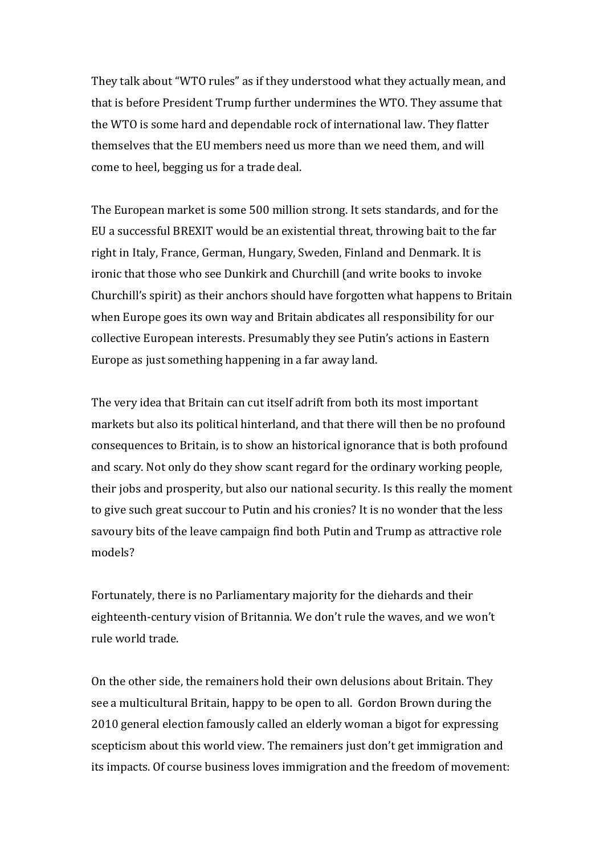They talk about "WTO rules" as if they understood what they actually mean, and that is before President Trump further undermines the WTO. They assume that the WTO is some hard and dependable rock of international law. They flatter themselves that the EU members need us more than we need them, and will come to heel, begging us for a trade deal.

The European market is some 500 million strong. It sets standards, and for the EU a successful BREXIT would be an existential threat, throwing bait to the far right in Italy, France, German, Hungary, Sweden, Finland and Denmark. It is ironic that those who see Dunkirk and Churchill (and write books to invoke Churchill's spirit) as their anchors should have forgotten what happens to Britain when Europe goes its own way and Britain abdicates all responsibility for our collective European interests. Presumably they see Putin's actions in Eastern Europe as just something happening in a far away land.

The very idea that Britain can cut itself adrift from both its most important markets but also its political hinterland, and that there will then be no profound consequences to Britain, is to show an historical ignorance that is both profound and scary. Not only do they show scant regard for the ordinary working people, their jobs and prosperity, but also our national security. Is this really the moment to give such great succour to Putin and his cronies? It is no wonder that the less savoury bits of the leave campaign find both Putin and Trump as attractive role models?

Fortunately, there is no Parliamentary majority for the diehards and their eighteenth-century vision of Britannia. We don't rule the waves, and we won't rule world trade.

On the other side, the remainers hold their own delusions about Britain. They see a multicultural Britain, happy to be open to all. Gordon Brown during the 2010 general election famously called an elderly woman a bigot for expressing scepticism about this world view. The remainers just don't get immigration and its impacts. Of course business loves immigration and the freedom of movement: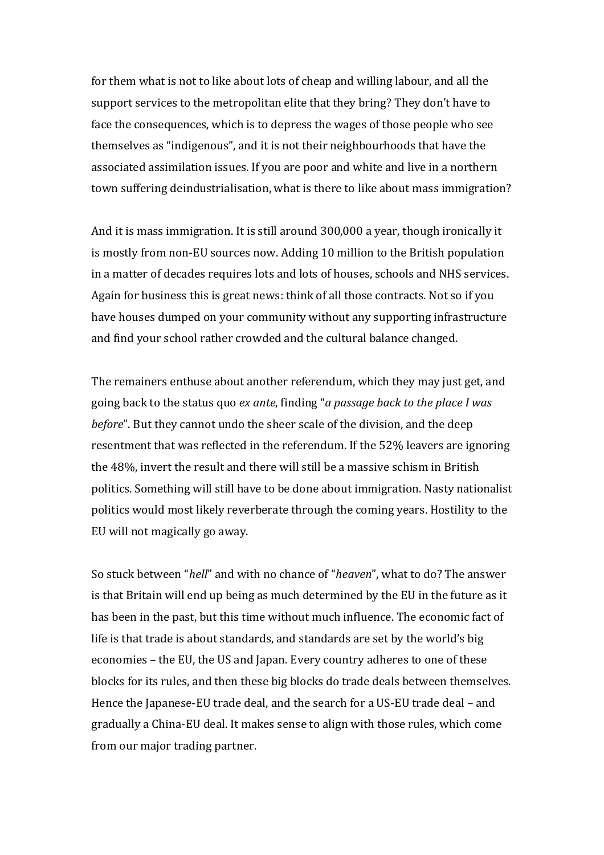for them what is not to like about lots of cheap and willing labour, and all the support services to the metropolitan elite that they bring? They don't have to face the consequences, which is to depress the wages of those people who see themselves as "indigenous", and it is not their neighbourhoods that have the associated assimilation issues. If you are poor and white and live in a northern town suffering deindustrialisation, what is there to like about mass immigration?

And it is mass immigration. It is still around 300,000 a year, though ironically it is mostly from non-EU sources now. Adding 10 million to the British population in a matter of decades requires lots and lots of houses, schools and NHS services. Again for business this is great news: think of all those contracts. Not so if you have houses dumped on your community without any supporting infrastructure and find your school rather crowded and the cultural balance changed.

The remainers enthuse about another referendum, which they may just get, and going back to the status quo *ex ante*, finding "*a passage back to the place I was before*". But they cannot undo the sheer scale of the division, and the deep resentment that was reflected in the referendum. If the 52% leavers are ignoring the 48%, invert the result and there will still be a massive schism in British politics. Something will still have to be done about immigration. Nasty nationalist politics would most likely reverberate through the coming years. Hostility to the EU will not magically go away.

So stuck between "*hell*" and with no chance of "*heaven*", what to do? The answer is that Britain will end up being as much determined by the EU in the future as it has been in the past, but this time without much influence. The economic fact of life is that trade is about standards, and standards are set by the world's big economies – the EU, the US and Japan. Every country adheres to one of these blocks for its rules, and then these big blocks do trade deals between themselves. Hence the Japanese-EU trade deal, and the search for a US-EU trade deal - and gradually a China-EU deal. It makes sense to align with those rules, which come from our major trading partner.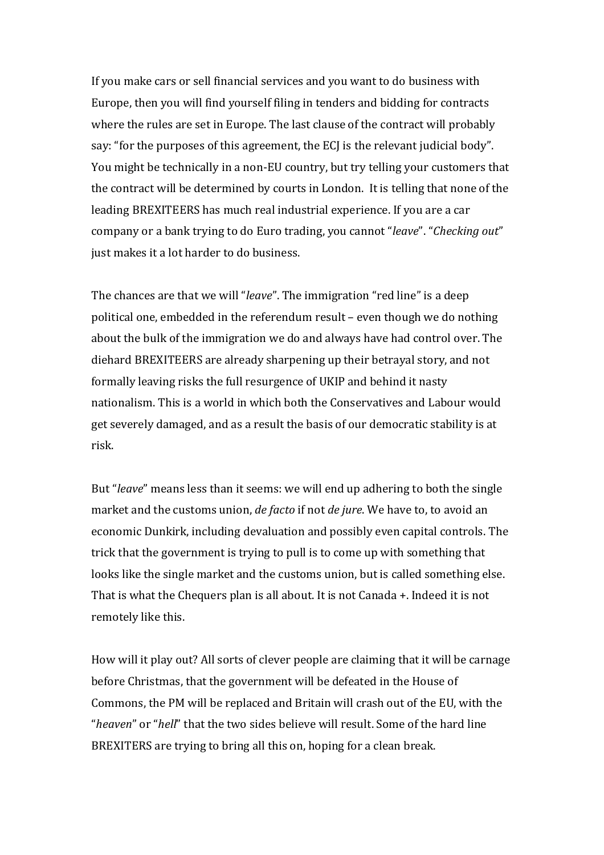If you make cars or sell financial services and you want to do business with Europe, then you will find yourself filing in tenders and bidding for contracts where the rules are set in Europe. The last clause of the contract will probably say: "for the purposes of this agreement, the ECJ is the relevant judicial body". You might be technically in a non-EU country, but try telling your customers that the contract will be determined by courts in London. It is telling that none of the leading BREXITEERS has much real industrial experience. If you are a car company or a bank trying to do Euro trading, you cannot "*leave*". "Checking out" just makes it a lot harder to do business.

The chances are that we will "*leave*". The immigration "red line" is a deep political one, embedded in the referendum result – even though we do nothing about the bulk of the immigration we do and always have had control over. The diehard BREXITEERS are already sharpening up their betrayal story, and not formally leaving risks the full resurgence of UKIP and behind it nasty nationalism. This is a world in which both the Conservatives and Labour would get severely damaged, and as a result the basis of our democratic stability is at risk.

But "*leave*" means less than it seems: we will end up adhering to both the single market and the customs union, *de facto* if not *de jure*. We have to, to avoid an economic Dunkirk, including devaluation and possibly even capital controls. The trick that the government is trying to pull is to come up with something that looks like the single market and the customs union, but is called something else. That is what the Chequers plan is all about. It is not Canada  $+$ . Indeed it is not remotely like this.

How will it play out? All sorts of clever people are claiming that it will be carnage before Christmas, that the government will be defeated in the House of Commons, the PM will be replaced and Britain will crash out of the EU, with the "*heaven*" or "*hell*" that the two sides believe will result. Some of the hard line BREXITERS are trying to bring all this on, hoping for a clean break.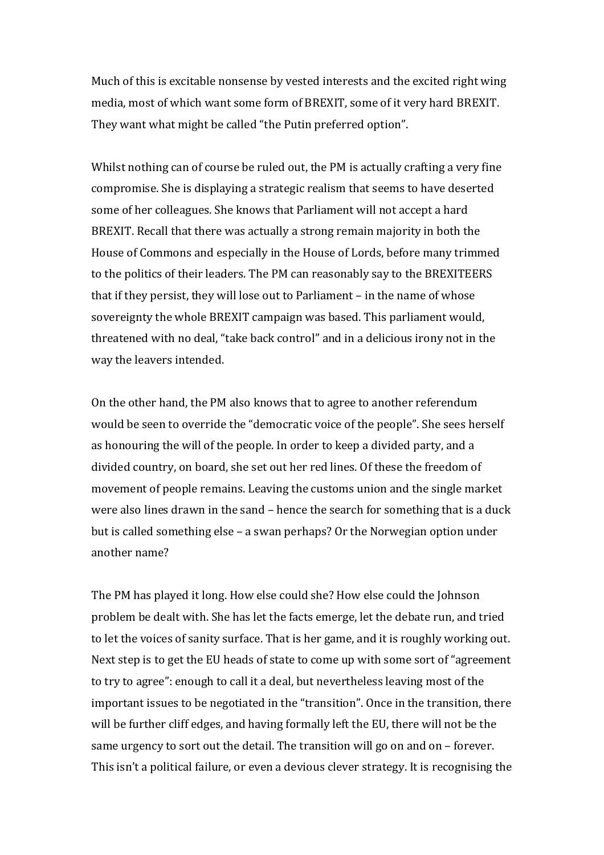Much of this is excitable nonsense by vested interests and the excited right wing media, most of which want some form of BREXIT, some of it very hard BREXIT. They want what might be called "the Putin preferred option".

Whilst nothing can of course be ruled out, the PM is actually crafting a very fine compromise. She is displaying a strategic realism that seems to have deserted some of her colleagues. She knows that Parliament will not accept a hard BREXIT. Recall that there was actually a strong remain majority in both the House of Commons and especially in the House of Lords, before many trimmed to the politics of their leaders. The PM can reasonably say to the BREXITEERS that if they persist, they will lose out to Parliament – in the name of whose sovereignty the whole BREXIT campaign was based. This parliament would, threatened with no deal, "take back control" and in a delicious irony not in the way the leavers intended.

On the other hand, the PM also knows that to agree to another referendum would be seen to override the "democratic voice of the people". She sees herself as honouring the will of the people. In order to keep a divided party, and a divided country, on board, she set out her red lines. Of these the freedom of movement of people remains. Leaving the customs union and the single market were also lines drawn in the sand – hence the search for something that is a duck but is called something else  $-$  a swan perhaps? Or the Norwegian option under another name?

The PM has played it long. How else could she? How else could the Johnson problem be dealt with. She has let the facts emerge, let the debate run, and tried to let the voices of sanity surface. That is her game, and it is roughly working out. Next step is to get the EU heads of state to come up with some sort of "agreement" to try to agree": enough to call it a deal, but nevertheless leaving most of the important issues to be negotiated in the "transition". Once in the transition, there will be further cliff edges, and having formally left the EU, there will not be the same urgency to sort out the detail. The transition will go on and on – forever. This isn't a political failure, or even a devious clever strategy. It is recognising the